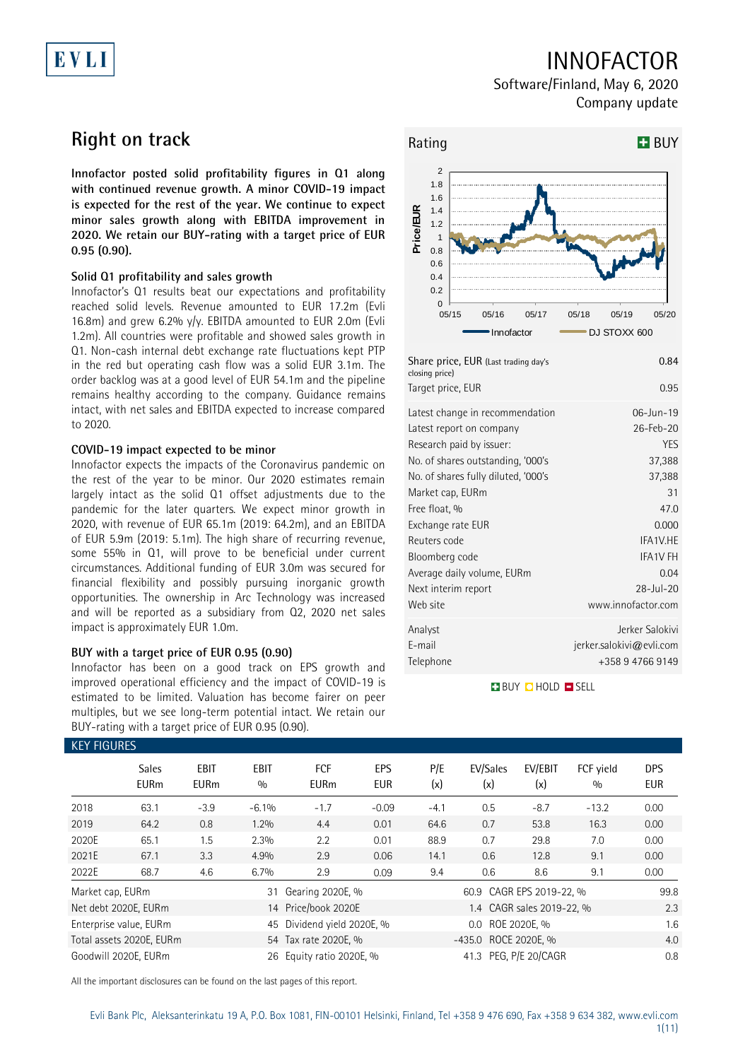# EVLI

## INNOFACTOR

Software/Finland, May 6, 2020 Company update

## **Right on track**

**Innofactor posted solid profitability figures in Q1 along with continued revenue growth. A minor COVID-19 impact is expected for the rest of the year. We continue to expect minor sales growth along with EBITDA improvement in 2020. We retain our BUY-rating with a target price of EUR 0.95 (0.90).**

### **Solid Q1 profitability and sales growth**

Innofactor's Q1 results beat our expectations and profitability reached solid levels. Revenue amounted to EUR 17.2m (Evli 16.8m) and grew 6.2% y/y. EBITDA amounted to EUR 2.0m (Evli 1.2m). All countries were profitable and showed sales growth in Q1. Non-cash internal debt exchange rate fluctuations kept PTP in the red but operating cash flow was a solid EUR 3.1m. The order backlog was at a good level of EUR 54.1m and the pipeline remains healthy according to the company. Guidance remains intact, with net sales and EBITDA expected to increase compared to 2020.

### **COVID-19 impact expected to be minor**

Innofactor expects the impacts of the Coronavirus pandemic on the rest of the year to be minor. Our 2020 estimates remain largely intact as the solid Q1 offset adjustments due to the pandemic for the later quarters. We expect minor growth in 2020, with revenue of EUR 65.1m (2019: 64.2m), and an EBITDA of EUR 5.9m (2019: 5.1m). The high share of recurring revenue, some 55% in Q1, will prove to be beneficial under current circumstances. Additional funding of EUR 3.0m was secured for financial flexibility and possibly pursuing inorganic growth opportunities. The ownership in Arc Technology was increased and will be reported as a subsidiary from Q2, 2020 net sales impact is approximately EUR 1.0m.

### **BUY with a target price of EUR 0.95 (0.90)**

Innofactor has been on a good track on EPS growth and improved operational efficiency and the impact of COVID-19 is estimated to be limited. Valuation has become fairer on peer multiples, but we see long-term potential intact. We retain our BUY-rating with a target price of EUR 0.95 (0.90).



| Exchange rate EUR          | 0.000                    |
|----------------------------|--------------------------|
| Reuters code               | IFA1V.HE                 |
| Bloomberg code             | <b>IFA1V FH</b>          |
| Average daily volume, EURm | 0.04                     |
| Next interim report        | $28 - Jul - 20$          |
| Web site                   | www.innofactor.com       |
| Analyst                    | Jerker Salokivi          |
| E-mail                     | jerker.salokivi@evli.com |
| Telephone                  | +358 9 4766 9149         |

**BUY QHOLD SELL** 

| <b>KEY FIGURES</b> |                             |                            |                    |                            |                   |            |                          |                           |                  |                          |
|--------------------|-----------------------------|----------------------------|--------------------|----------------------------|-------------------|------------|--------------------------|---------------------------|------------------|--------------------------|
|                    | <b>Sales</b><br><b>EURm</b> | <b>EBIT</b><br><b>EURm</b> | <b>EBIT</b><br>0/0 | <b>FCF</b><br><b>EURm</b>  | EPS<br><b>EUR</b> | P/E<br>(x) | EV/Sales<br>(x)          | EV/EBIT<br>(x)            | FCF vield<br>0/0 | <b>DPS</b><br><b>EUR</b> |
| 2018               | 63.1                        | $-3.9$                     | $-6.1%$            | $-1.7$                     | $-0.09$           | $-4.1$     | 0.5                      | $-8.7$                    | $-13.2$          | 0.00                     |
| 2019               | 64.2                        | 0.8                        | 1.2%               | 4.4                        | 0.01              | 64.6       | 0.7                      | 53.8                      | 16.3             | 0.00                     |
| 2020E              | 65.1                        | 1.5                        | 2.3%               | 2.2                        | 0.01              | 88.9       | 0.7                      | 29.8                      | 7.0              | 0.00                     |
| 2021E              | 67.1                        | 3.3                        | 4.9%               | 2.9                        | 0.06              | 14.1       | 0.6                      | 12.8                      | 9.1              | 0.00                     |
| 2022E              | 68.7                        | 4.6                        | 6.7%               | 2.9                        | 0.09              | 9.4        | 0.6                      | 8.6                       | 9.1              | 0.00                     |
| Market cap, EURm   |                             |                            | 31                 | Gearing 2020E, %           |                   |            | 60.9 CAGR EPS 2019-22, % |                           |                  | 99.8                     |
|                    | Net debt 2020E, EURm        |                            |                    | 14 Price/book 2020E        |                   |            |                          | 1.4 CAGR sales 2019-22, % |                  | 2.3                      |
|                    | Enterprise value, EURm      |                            |                    | 45 Dividend yield 2020E, % |                   |            | $0.0\,$                  | ROE 2020E, %              |                  | 1.6                      |
|                    | Total assets 2020E, EURm    |                            |                    | 54 Tax rate 2020E, %       |                   |            | -435.0 ROCE 2020E, %     |                           |                  | 4.0                      |
|                    | Goodwill 2020E, EURm        |                            |                    | 26 Equity ratio 2020E, %   |                   |            | 41.3                     | PEG, P/E 20/CAGR          |                  | 0.8                      |

All the important disclosures can be found on the last pages of this report.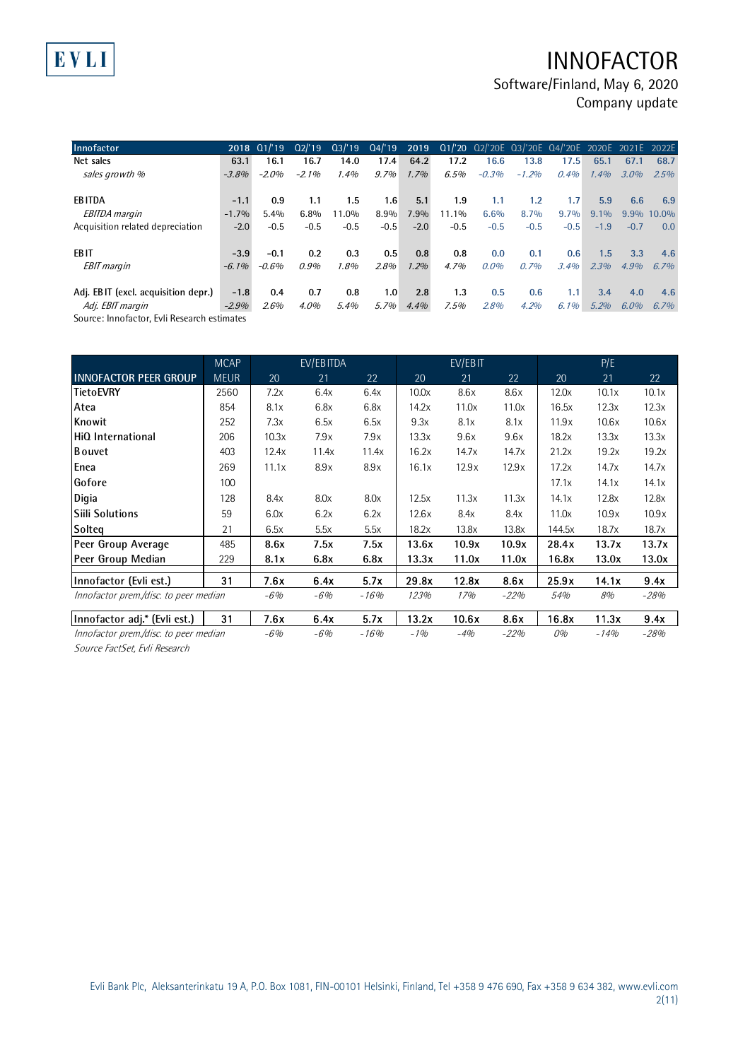## INNOFACTOR

Software/Finland, May 6, 2020 Company update

| Innofactor                          |          | 2018 01/'19 | Q2/19   |        |         |         |          |         |         | 03/'19 04/'19 2019 01/'20 02/'20E 03/'20E 04/'20E 2020E 2021E 2022E |         |         |            |
|-------------------------------------|----------|-------------|---------|--------|---------|---------|----------|---------|---------|---------------------------------------------------------------------|---------|---------|------------|
| Net sales                           | 63.1     | 16.1        | 16.7    | 14.0   | 17.4    | 64.2    | 17.2     | 16.6    | 13.8    | 17.5                                                                | 65.1    | 67.1    | 68.7       |
| sales growth %                      | $-3.8%$  | $-2.0%$     | $-2.1%$ | 1.4%   | $9.7\%$ | 1.7%    | 6.5%     | $-0.3%$ | $-1.2%$ | 0.4%                                                                | 1.4%    | $3.0\%$ | 2.5%       |
| <b>EBITDA</b>                       | $-1.1$   | 0.9         | 1.1     | 1.5    | 1.6     | 5.1     | 1.9      | 1.1     | 1.2     | 1.7 <sup>2</sup>                                                    | 5.9     | 6.6     | 6.9        |
| <b>EBITDA</b> margin                | $-1.7%$  | 5.4%        | $6.8\%$ | 11.0%  | 8.9%    | $7.9\%$ | $11.1\%$ | 6.6%    | 8.7%    | 9.7%                                                                | $9.1\%$ |         | 9.9% 10.0% |
| Acquisition related depreciation    | $-2.0$   | $-0.5$      | $-0.5$  | $-0.5$ | $-0.5$  | $-2.0$  | $-0.5$   | $-0.5$  | $-0.5$  | $-0.5$                                                              | $-1.9$  | $-0.7$  | 0.0        |
| EB IT                               | $-3.9$   | $-0.1$      | 0.2     | 0.3    | 0.5     | 0.8     | 0.8      | 0.0     | 0.1     | 0.6                                                                 | 1.5     | 3.3     | 4.6        |
| <b>EBIT</b> margin                  | $-6.1\%$ | $-0.6%$     | 0.9%    | 1.8%   | 2.8%    | 1.2%    | 4.7%     | 0.0%    | 0.7%    | 3.4%                                                                | 2.3%    | $4.9\%$ | $6.7\%$    |
| Adj. EBIT (excl. acquisition depr.) | $-1.8$   | 0.4         | 0.7     | 0.8    | 1.0     | 2.8     | 1.3      | 0.5     | 0.6     | 1.1                                                                 | 3.4     | 4.0     | 4.6        |
| Adj. EBIT margin                    | $-2.9%$  | 2.6%        | 4.0%    | 5.4%   | $5.7\%$ | 4.4%    | 7.5%     | 2.8%    | 4.2%    | $6.1\%$                                                             | $5.2\%$ | $6.0\%$ | 6.7%       |
|                                     |          |             |         |        |         |         |          |         |         |                                                                     |         |         |            |

Source: Innofactor, Evli Research estimates

EVLI

|                                       | <b>MCAP</b> |       | EV/EBITDA |        |       | EV/EBIT |        |        | P/E    |        |
|---------------------------------------|-------------|-------|-----------|--------|-------|---------|--------|--------|--------|--------|
| <b>INNOFACTOR PEER GROUP</b>          | <b>MEUR</b> | 20    | 21        | 22     | 20    | 21      | 22     | 20     | 21     | 22     |
| <b>TietoEVRY</b>                      | 2560        | 7.2x  | 6.4x      | 6.4x   | 10.0x | 8.6x    | 8.6x   | 12.0x  | 10.1x  | 10.1x  |
| Atea                                  | 854         | 8.1x  | 6.8x      | 6.8x   | 14.2x | 11.0x   | 11.0x  | 16.5x  | 12.3x  | 12.3x  |
| Knowit                                | 252         | 7.3x  | 6.5x      | 6.5x   | 9.3x  | 8.1x    | 8.1x   | 11.9x  | 10.6x  | 10.6x  |
| HiQ International                     | 206         | 10.3x | 7.9x      | 7.9x   | 13.3x | 9.6x    | 9.6x   | 18.2x  | 13.3x  | 13.3x  |
| <b>B</b> ouvet                        | 403         | 12.4x | 11.4x     | 11.4x  | 16.2x | 14.7x   | 14.7x  | 21.2x  | 19.2x  | 19.2x  |
| Enea                                  | 269         | 11.1x | 8.9x      | 8.9x   | 16.1x | 12.9x   | 12.9x  | 17.2x  | 14.7x  | 14.7x  |
| Gofore                                | 100         |       |           |        |       |         |        | 17.1x  | 14.1x  | 14.1x  |
| Digia                                 | 128         | 8.4x  | 8.0x      | 8.0x   | 12.5x | 11.3x   | 11.3x  | 14.1x  | 12.8x  | 12.8x  |
| Siili Solutions                       | 59          | 6.0x  | 6.2x      | 6.2x   | 12.6x | 8.4x    | 8.4x   | 11.0x  | 10.9x  | 10.9x  |
| Solteg                                | 21          | 6.5x  | 5.5x      | 5.5x   | 18.2x | 13.8x   | 13.8x  | 144.5x | 18.7x  | 18.7x  |
| Peer Group Average                    | 485         | 8.6x  | 7.5x      | 7.5x   | 13.6x | 10.9x   | 10.9x  | 28.4x  | 13.7x  | 13.7x  |
| Peer Group Median                     | 229         | 8.1x  | 6.8x      | 6.8x   | 13.3x | 11.0x   | 11.0x  | 16.8x  | 13.0x  | 13.0x  |
| Innofactor (Evli est.)                | 31          | 7.6x  | 6.4x      | 5.7x   | 29.8x | 12.8x   | 8.6x   | 25.9x  | 14.1x  | 9.4x   |
| Innofactor prem./disc. to peer median |             | $-6%$ | $-6%$     | $-16%$ | 123%  | 17%     | $-22%$ | 54%    | 8%     | $-28%$ |
| Innofactor adj.* (Evli est.)          | 31          | 7.6x  | 6.4x      | 5.7x   | 13.2x | 10.6x   | 8.6x   | 16.8x  | 11.3x  | 9.4x   |
| Innofactor prem./disc. to peer median |             | $-6%$ | $-6%$     | $-16%$ | $-1%$ | $-4%$   | $-22%$ | 0%     | $-14%$ | $-28%$ |

Source FactSet, Evli Research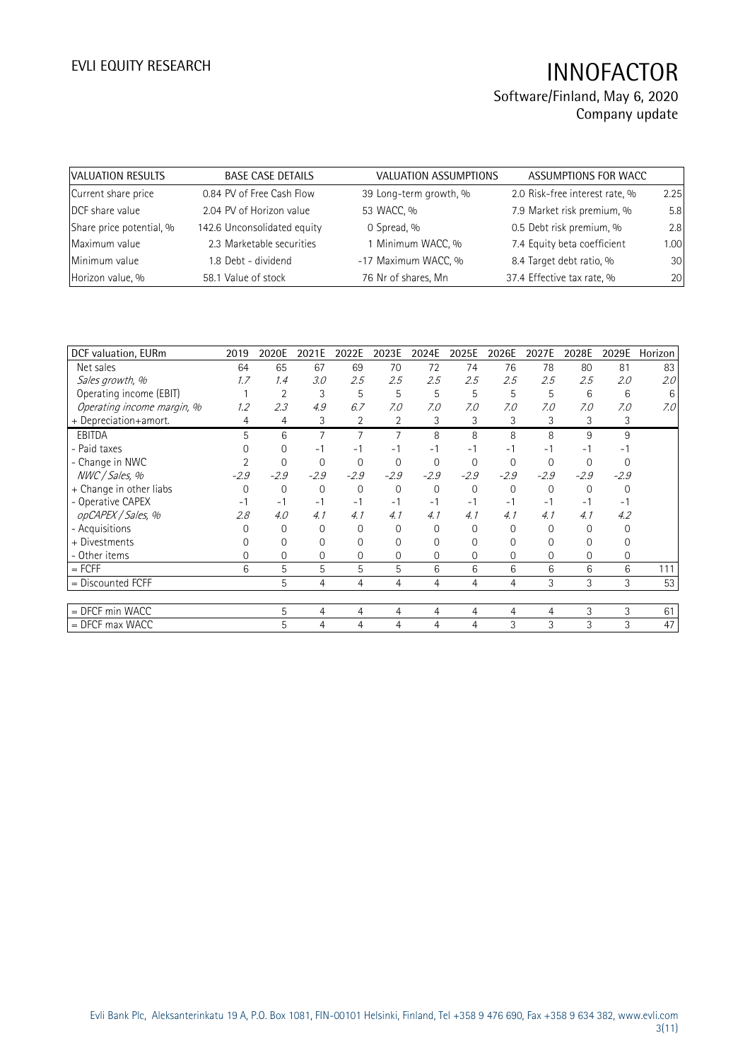| VALUATION RESULTS        | <b>BASE CASE DETAILS</b>    | VALUATION ASSUMPTIONS  | ASSUMPTIONS FOR WACC           |      |
|--------------------------|-----------------------------|------------------------|--------------------------------|------|
| Current share price      | 0.84 PV of Free Cash Flow   | 39 Long-term growth, % | 2.0 Risk-free interest rate, % | 2.25 |
| DCF share value          | 2.04 PV of Horizon value    | 53 WACC, %             | 7.9 Market risk premium, %     | 5.8  |
| Share price potential, % | 142.6 Unconsolidated equity | 0 Spread, %            | 0.5 Debt risk premium, %       | 2.8  |
| Maximum value            | 2.3 Marketable securities   | 1 Minimum WACC, %      | 7.4 Equity beta coefficient    | 1.00 |
| Minimum value            | 1.8 Debt - dividend         | -17 Maximum WACC, %    | 8.4 Target debt ratio, %       | 30   |
| Horizon value, %         | 58.1 Value of stock         | 76 Nr of shares, Mn    | 37.4 Effective tax rate, %     | 20   |

| 2019     | 2020E          | 2021E    | 2022E          | 2023E          | 2024E    | 2025E          | 2026E    | 2027E    | 2028E    | 2029E    | Horizon |
|----------|----------------|----------|----------------|----------------|----------|----------------|----------|----------|----------|----------|---------|
| 64       | 65             | 67       | 69             | 70             | 72       | 74             | 76       | 78       | 80       | 81       | 83      |
| 1.7      | 1.4            | 3.0      | 2.5            | 2.5            | 2.5      | 2.5            | 2.5      | 2.5      | 2.5      | 2.0      | 2.0     |
|          | $\overline{2}$ | 3        | 5              | 5              | 5        | 5              | 5        | 5        | 6        | 6        | 6       |
| 1.2      | 2.3            | 4.9      | 6.7            | 7.0            | 7.0      | 7.0            | 7.0      | 7.0      | 7.0      | 7.0      | 7.0     |
| 4        | 4              | 3        | $\overline{2}$ | 2              | 3        | 3              | 3        | 3        | 3        | 3        |         |
| 5        | 6              | 7        |                |                | 8        | 8              | 8        | 8        | 9        | 9        |         |
|          | 0              | $-1$     | $-1$           | -1             | - 1      | $-1$           | $-1$     | - 1      | - 1      |          |         |
|          | $\Omega$       | $\Omega$ | $\mathbf{0}$   | $\Omega$       | $\Omega$ | $\mathbf 0$    | $\Omega$ | $\Omega$ | 0        | $\Omega$ |         |
| $-2.9$   | $-2.9$         | $-2.9$   | $-2.9$         | $-2.9$         | $-2.9$   | $-2.9$         | $-2.9$   | $-2.9$   | $-2.9$   | $-2.9$   |         |
| $\Omega$ | $\mathbf{0}$   | 0        | $\mathbf{0}$   | $\mathbf 0$    | $\Omega$ | $\mathbf 0$    | 0        | $\Omega$ | $\Omega$ | $\Omega$ |         |
| $-1$     | $-1$           | $-1$     | $-1$           | $-1$           | - 1      | $-1$           | $-1$     | - 1      | $-1$     | -1       |         |
| 2.8      | 4.0            | 4.1      | 4.1            | 4.1            | 4.1      | 4.1            | 4.1      | 4.1      | 4.1      | 4.2      |         |
|          | $\Omega$       | $\Omega$ | $\Omega$       | $\Omega$       | 0        | $\Omega$       | 0        | 0        | $\Omega$ | 0        |         |
|          | 0              | O        | $\Omega$       | 0              | 0        | 0              | 0        | 0        |          | 0        |         |
| $\Omega$ | 0              | 0        | $\Omega$       | $\overline{0}$ | 0        | $\Omega$       | $\Omega$ | 0        | $\Omega$ | $\Omega$ |         |
| 6        | 5              | 5        | 5              | 5              | 6        | 6              | 6        | 6        | 6        | 6        | 111     |
|          | 5              | 4        | 4              | 4              | 4        | $\overline{4}$ | 4        | 3        | 3        | 3        | 53      |
|          |                |          |                |                |          |                |          |          |          |          |         |
|          | 5              | 4        | 4              | 4              | 4        | $\overline{4}$ | 4        | 4        | 3        | 3        | 61      |
|          | 5              | 4        | 4              | 4              | 4        | 4              | 3        | 3        | 3        | 3        | 47      |
|          |                |          |                |                |          |                |          |          |          |          |         |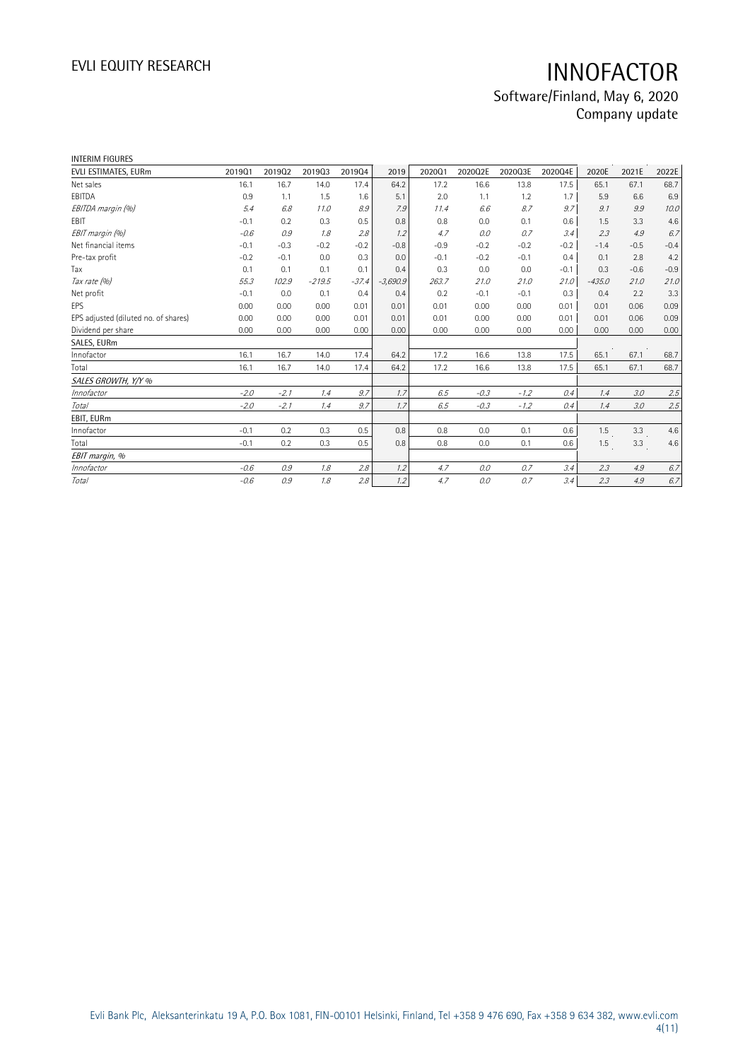| <b>INTERIM FIGURES</b>               |        |        |          |         |            |        |         |         |         |          |        |        |
|--------------------------------------|--------|--------|----------|---------|------------|--------|---------|---------|---------|----------|--------|--------|
| EVLI ESTIMATES, EURm                 | 201901 | 201902 | 201903   | 201904  | 2019       | 202001 | 2020Q2E | 2020Q3E | 2020Q4E | 2020E    | 2021E  | 2022E  |
| Net sales                            | 16.1   | 16.7   | 14.0     | 17.4    | 64.2       | 17.2   | 16.6    | 13.8    | 17.5    | 65.1     | 67.1   | 68.7   |
| EBITDA                               | 0.9    | 1.1    | 1.5      | 1.6     | 5.1        | 2.0    | 1.1     | 1.2     | 1.7     | 5.9      | 6.6    | 6.9    |
| EBITDA margin (%)                    | 5.4    | 6.8    | 11.0     | 8.9     | 7.9        | 11.4   | 6.6     | 8.7     | 9.7     | 9.1      | 9.9    | 10.0   |
| EBIT                                 | $-0.1$ | 0.2    | 0.3      | 0.5     | 0.8        | 0.8    | 0.0     | 0.1     | 0.6     | 1.5      | 3.3    | 4.6    |
| EBIT margin (%)                      | $-0.6$ | 0.9    | 1.8      | 2.8     | 1.2        | 4.7    | 0.0     | 0.7     | 3.4     | 2.3      | 4.9    | 6.7    |
| Net financial items                  | $-0.1$ | $-0.3$ | $-0.2$   | $-0.2$  | $-0.8$     | $-0.9$ | $-0.2$  | $-0.2$  | $-0.2$  | $-1.4$   | $-0.5$ | $-0.4$ |
| Pre-tax profit                       | $-0.2$ | $-0.1$ | 0.0      | 0.3     | 0.0        | $-0.1$ | $-0.2$  | $-0.1$  | 0.4     | 0.1      | 2.8    | 4.2    |
| Tax                                  | 0.1    | 0.1    | 0.1      | 0.1     | 0.4        | 0.3    | 0.0     | 0.0     | $-0.1$  | 0.3      | $-0.6$ | $-0.9$ |
| Tax rate (%)                         | 55.3   | 102.9  | $-219.5$ | $-37.4$ | $-3,690.9$ | 263.7  | 21.0    | 21.0    | 21.0    | $-435.0$ | 21.0   | 21.0   |
| Net profit                           | $-0.1$ | 0.0    | 0.1      | 0.4     | 0.4        | 0.2    | $-0.1$  | $-0.1$  | 0.3     | 0.4      | 2.2    | 3.3    |
| EPS                                  | 0.00   | 0.00   | 0.00     | 0.01    | 0.01       | 0.01   | 0.00    | 0.00    | 0.01    | 0.01     | 0.06   | 0.09   |
| EPS adjusted (diluted no. of shares) | 0.00   | 0.00   | 0.00     | 0.01    | 0.01       | 0.01   | 0.00    | 0.00    | 0.01    | 0.01     | 0.06   | 0.09   |
| Dividend per share                   | 0.00   | 0.00   | 0.00     | 0.00    | 0.00       | 0.00   | 0.00    | 0.00    | 0.00    | 0.00     | 0.00   | 0.00   |
| SALES, EURm                          |        |        |          |         |            |        |         |         |         |          |        |        |
| Innofactor                           | 16.1   | 16.7   | 14.0     | 17.4    | 64.2       | 17.2   | 16.6    | 13.8    | 17.5    | 65.1     | 67.1   | 68.7   |
| Total                                | 16.1   | 16.7   | 14.0     | 17.4    | 64.2       | 17.2   | 16.6    | 13.8    | 17.5    | 65.1     | 67.1   | 68.7   |
| SALES GROWTH, Y/Y %                  |        |        |          |         |            |        |         |         |         |          |        |        |
| Innofactor                           | $-2.0$ | $-2.1$ | 1.4      | 9.7     | 1.7        | 6.5    | $-0.3$  | $-1.2$  | 0.4     | 1.4      | 3.0    | 2.5    |
| <b>Total</b>                         | $-2.0$ | $-2.1$ | 1.4      | 9.7     | 1.7        | 6.5    | $-0.3$  | $-1.2$  | 0.4     | 1.4      | 3.0    | 2.5    |
| EBIT, EURm                           |        |        |          |         |            |        |         |         |         |          |        |        |
| Innofactor                           | $-0.1$ | 0.2    | 0.3      | 0.5     | 0.8        | 0.8    | 0.0     | 0.1     | 0.6     | 1.5      | 3.3    | 4.6    |
| Total                                | $-0.1$ | 0.2    | 0.3      | 0.5     | 0.8        | 0.8    | 0.0     | 0.1     | 0.6     | 1.5      | 3.3    | 4.6    |
| EBIT margin, %                       |        |        |          |         |            |        |         |         |         |          |        |        |
| Innofactor                           | $-0.6$ | 0.9    | 1.8      | 2.8     | 1.2        | 4.7    | 0.0     | 0.7     | 3.4     | 2.3      | 4.9    | 6.7    |
| Total                                | $-0.6$ | 0.9    | 1.8      | 2.8     | 1.2        | 4.7    | 0.0     | 0.7     | 3.4     | 2.3      | 4.9    | 6.7    |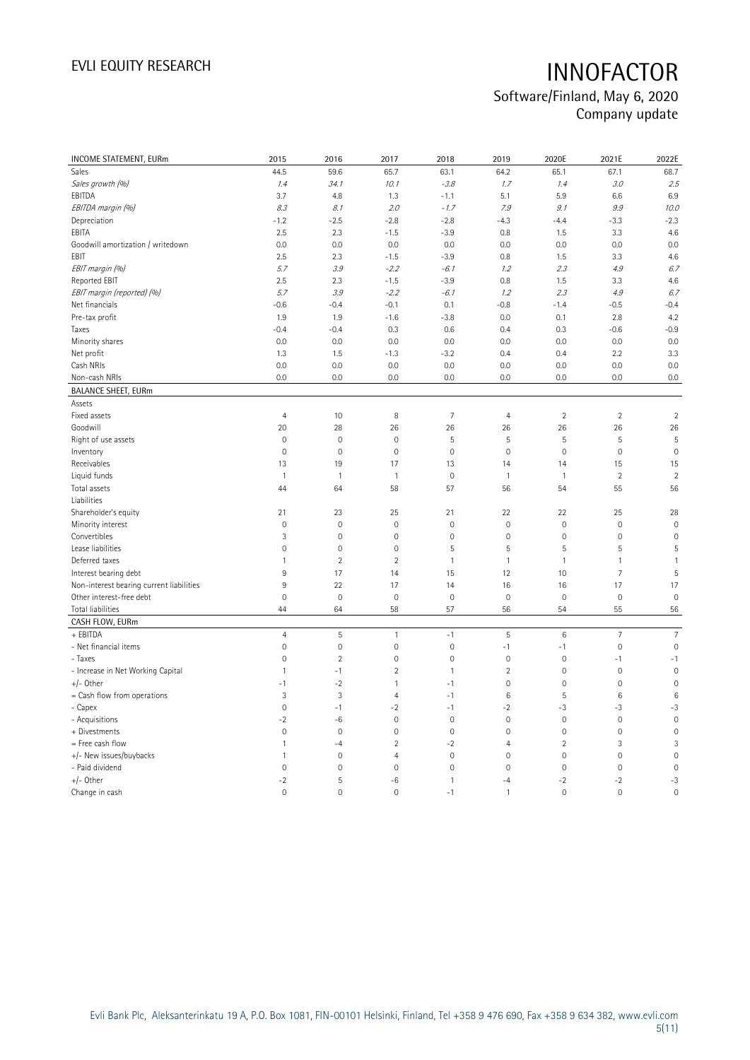| <b>INCOME STATEMENT, EURm</b>            | 2015                | 2016                      | 2017                | 2018           | 2019           | 2020E               | 2021E          | 2022E               |
|------------------------------------------|---------------------|---------------------------|---------------------|----------------|----------------|---------------------|----------------|---------------------|
| Sales                                    | 44.5                | 59.6                      | 65.7                | 63.1           | 64.2           | 65.1                | 67.1           | 68.7                |
| Sales growth (%)                         | 1.4                 | 34.1                      | 10.1                | $-3.8$         | 1.7            | 1.4                 | 3.0            | 2.5                 |
| EBITDA                                   | 3.7                 | 4.8                       | 1.3                 | $-1.1$         | 5.1            | 5.9                 | 6.6            | 6.9                 |
| EBITDA margin (%)                        | 8.3                 | 8.1                       | 2.0                 | $-1.7$         | 7.9            | 9.1                 | 9.9            | 10.0                |
| Depreciation                             | $-1.2$              | $-2.5$                    | $-2.8$              | $-2.8$         | $-4.3$         | $-4.4$              | $-3.3$         | $-2.3$              |
| EBITA                                    | 2.5                 | 2.3                       | $-1.5$              | $-3.9$         | 0.8            | 1.5                 | 3.3            | 4.6                 |
| Goodwill amortization / writedown        | 0.0                 | 0.0                       | 0.0                 | 0.0            | 0.0            | 0.0                 | 0.0            | 0.0                 |
| EBIT                                     | 2.5                 | 2.3                       | $-1.5$              | $-3.9$         | 0.8            | 1.5                 | 3.3            | 4.6                 |
| EBIT margin (%)                          | 5.7                 | 3.9                       | $-2.2$              | $-6.1$         | 1.2            | 2.3                 | 4.9            | 6.7                 |
| Reported EBIT                            | 2.5                 | 2.3                       | $-1.5$              | $-3.9$         | 0.8            | 1.5                 | 3.3            | 4.6                 |
| EBIT margin (reported) (%)               | 5.7                 | 3.9                       | $-2.2$              | $-6.1$         | 1.2            | 2.3                 | 4.9            | 6.7                 |
| Net financials                           | $-0.6$              | $-0.4$                    | $-0.1$              | 0.1            | $-0.8$         | $-1.4$              | $-0.5$         | $-0.4$              |
| Pre-tax profit                           | 1.9                 | 1.9                       | $-1.6$              | $-3.8$         | 0.0            | 0.1                 | 2.8            | 4.2                 |
| Taxes                                    | $-0.4$              | $-0.4$                    | 0.3                 | 0.6            | 0.4            | 0.3                 | $-0.6$         | $-0.9$              |
| Minority shares                          | 0.0                 | 0.0                       | 0.0                 | 0.0            | 0.0            | 0.0                 | 0.0            | 0.0                 |
| Net profit                               | 1.3                 | 1.5                       | $-1.3$              | $-3.2$         | 0.4            | 0.4                 | 2.2            | 3.3                 |
| Cash NRIs                                | 0.0                 | 0.0                       | 0.0                 | 0.0            | 0.0            | 0.0                 | 0.0            | 0.0                 |
| Non-cash NRIs                            | 0.0                 | 0.0                       | 0.0                 | 0.0            | 0.0            | 0.0                 | 0.0            | 0.0                 |
| <b>BALANCE SHEET, EURm</b>               |                     |                           |                     |                |                |                     |                |                     |
| Assets                                   |                     |                           |                     |                |                |                     |                |                     |
| Fixed assets                             | $\overline{4}$      | 10                        | 8                   | $\overline{7}$ | $\overline{4}$ | $\sqrt{2}$          | $\sqrt{2}$     | $\sqrt{2}$          |
| Goodwill                                 | 20                  | 28                        | 26                  | 26             | 26             | 26                  | 26             | 26                  |
| Right of use assets                      | $\mathsf{O}\xspace$ | $\mathbb O$               | $\mathbf 0$         | 5              | 5              | 5                   | $\sqrt{5}$     | 5                   |
| Inventory                                | $\overline{0}$      | $\mathbf 0$               | $\mathbf 0$         | $\mathbf 0$    | $\mathbf 0$    | $\mathbf 0$         | $\mathbf{0}$   | $\mathbf 0$         |
| Receivables                              | 13                  | 19                        | 17                  | 13             | 14             | 14                  | 15             | 15                  |
| Liquid funds                             | $\overline{1}$      | $\mathbf{1}$              | $\mathbf{1}$        | $\mathbb O$    | $\mathbf{1}$   | $\mathbf{1}$        | $\overline{2}$ | $\overline{2}$      |
| Total assets                             | 44                  | 64                        | 58                  | 57             | 56             | 54                  | 55             | 56                  |
| Liabilities                              |                     |                           |                     |                |                |                     |                |                     |
| Shareholder's equity                     | 21                  | 23                        | 25                  | 21             | 22             | 22                  | 25             | 28                  |
| Minority interest                        | $\mathsf{O}\xspace$ | $\mathbf 0$               | $\mathbf 0$         | $\mathbf 0$    | $\mathbf 0$    | $\mathbf 0$         | $\mathbf 0$    | $\mathbf 0$         |
| Convertibles                             | 3                   | $\mathbf 0$               | $\mathbf 0$         | $\mathbf 0$    | $\mathbf 0$    | $\mathsf{O}\xspace$ | $\mathbf 0$    | $\mathbf 0$         |
| Lease liabilities                        | $\mathsf{O}\xspace$ | $\mathbf 0$               | $\mathbb O$         | 5              | 5              | 5                   | 5              | 5                   |
| Deferred taxes                           | $\mathbf{1}$        | $\sqrt{2}$                | $\overline{2}$      | $\mathbf{1}$   | $\mathbf{1}$   | $\mathbf{1}$        | $\mathbf{1}$   | $\mathbf{1}$        |
| Interest bearing debt                    | 9                   | 17                        | 14                  | 15             | 12             | 10                  | $\overline{7}$ | 5                   |
| Non-interest bearing current liabilities | $9\,$               | 22                        | 17                  | 14             | 16             | 16                  | 17             | 17                  |
| Other interest-free debt                 | $\overline{0}$      | $\mathbf 0$               | $\mathbf 0$         | $\mathbf 0$    | $\mathbf 0$    | $\mathsf{O}\xspace$ | $\mathbf 0$    | $\mathbf 0$         |
| Total liabilities                        | 44                  | 64                        | 58                  | 57             | 56             | 54                  | 55             | 56                  |
| CASH FLOW, EURm                          |                     |                           |                     |                |                |                     |                |                     |
| + EBITDA                                 | $\overline{4}$      | $\mathsf S$               | $\mathbf{1}$        | $-1$           | $\mathsf S$    | $\,6\,$             | $\overline{7}$ | $\overline{7}$      |
| - Net financial items                    | $\mathsf{O}\xspace$ | $\mathbf 0$               | 0                   | $\mathbf 0$    | $-1$           | $-1$                | $\mathbf 0$    | $\mathsf{O}\xspace$ |
| - Taxes                                  | $\mathsf{O}\xspace$ | $\overline{2}$            | $\mathbf 0$         | $\mathbf 0$    | $\mathbf 0$    | $\mathsf{O}\xspace$ | $-1$           | $-1$                |
| - Increase in Net Working Capital        | $\mathbf{1}$        | $-1$                      | $\overline{2}$      | $\mathbf{1}$   | $\overline{2}$ | $\mathsf{O}\xspace$ | $\mathbf 0$    | $\mathbf 0$         |
| +/- Other                                | $-1$                | $-2$                      | 1                   | $-1$           | $\overline{0}$ | $\mathbf{0}$        | $\mathbf{0}$   | $\overline{0}$      |
| = Cash flow from operations              | 3                   | $\ensuremath{\mathsf{3}}$ | $\overline{4}$      | $-1$           | 6              | $\sqrt{5}$          | 6              | $6\phantom{1}6$     |
| - Capex                                  | $\overline{0}$      | $-1$                      | $-2$                | $-1$           | $-2$           | -3                  | -3             | $-3$                |
| - Acquisitions                           | $-2$                | $-6$                      | $\mathbf 0$         | $\mathbf 0$    | $\mathbf 0$    | $\mathsf{O}\xspace$ | $\mathbf 0$    | $\mathbf 0$         |
| + Divestments                            | 0                   | $\mathbb O$               | $\mathsf{O}\xspace$ | $\mathbb O$    | $\mathbf 0$    | $\mathsf{O}\xspace$ | $\mathbb O$    | $\mathbf 0$         |
| = Free cash flow                         | $\mathbf{1}$        | $-4$                      | $\overline{2}$      | $-2$           | $\overline{4}$ | $\overline{2}$      | 3              | 3                   |
| +/- New issues/buybacks                  | $\mathbf{1}$        | $\mathbf 0$               | $\overline{4}$      | $\mathbf 0$    | $\mathbf 0$    | $\mathsf{O}\xspace$ | $\mathbf 0$    | $\mathbf 0$         |
| - Paid dividend                          | $\overline{0}$      | $\mathbf 0$               | $\overline{0}$      | $\mathbf 0$    | $\mathbf 0$    | $\mathbf 0$         | $\mathbf{0}$   | $\mathbf 0$         |
| $+/-$ Other                              | $-2$                | $\mathsf S$               | $-6$                | $\mathbf{1}$   | $-4$           | $-2$                | $-2$           | $-3$                |
| Change in cash                           | $\Omega$            | $\mathbf 0$               | $\Omega$            | $-1$           | $\mathbf{1}$   | $\mathbf 0$         | $\mathbf{0}$   | $\mathbf 0$         |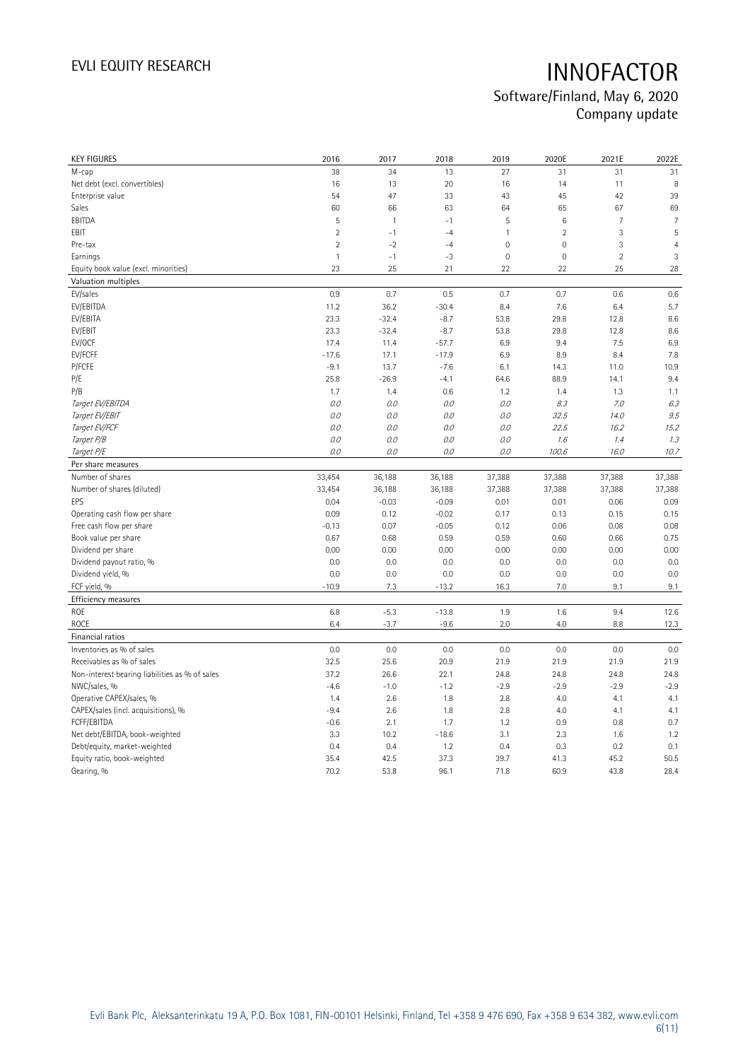| <b>KEY FIGURES</b>                             | 2016           | 2017           | 2018         | 2019         | 2020E               | 2021E          | 2022E          |
|------------------------------------------------|----------------|----------------|--------------|--------------|---------------------|----------------|----------------|
| M-cap                                          | 38             | 34             | 13           | 27           | 31                  | 31             | 31             |
| Net debt (excl. convertibles)                  | 16             | 13             | 20           | 16           | 14                  | 11             | 8              |
| Enterprise value                               | 54             | 47             | 33           | 43           | 45                  | 42             | 39             |
| Sales                                          | 60             | 66             | 63           | 64           | 65                  | 67             | 69             |
| EBITDA                                         | 5              | $\overline{1}$ | $-1$         | 5            | $\,6\,$             | $\overline{7}$ | $\overline{7}$ |
| EBIT                                           | $\overline{2}$ | $-1$           | $-4$         | $\mathbf{1}$ | $\sqrt{2}$          | 3              | 5              |
| Pre-tax                                        | $\overline{2}$ | $-2$           | $-4$         | $\mathbf 0$  | $\mathsf{O}\xspace$ | 3              | $\overline{4}$ |
| Earnings                                       | $\mathbf{1}$   | $-1$           | $-3$         | $\mathbf 0$  | $\mathsf{O}\xspace$ | $\overline{2}$ | 3              |
| Equity book value (excl. minorities)           | 23             | 25             | 21           | 22           | 22                  | 25             | 28             |
| Valuation multiples                            |                |                |              |              |                     |                |                |
| EV/sales                                       | 0.9            | 0.7            | 0.5          | 0.7          | 0.7                 | 0.6            | 0.6            |
| EV/EBITDA                                      | 11.2           | 36.2           | $-30.4$      | 8.4          | 7.6                 | 6.4            | 5.7            |
| EV/EBITA                                       | 23.3           | $-32.4$        | $-8.7$       | 53.8         | 29.8                | 12.8           | 8.6            |
| EV/EBIT                                        | 23.3           | $-32.4$        | $-8.7$       | 53.8         | 29.8                | 12.8           | 8.6            |
| EV/OCF                                         | 17.4           | 11.4           | $-57.7$      | 6.9          | 9.4                 | 7.5            | 6.9            |
| EV/FCFF                                        | $-17.6$        | 17.1           | $-17.9$      | 6.9          | 8.9                 | 8.4            | 7.8            |
| P/FCFE                                         | $-9.1$         | 13.7           | $-7.6$       | 6.1          | 14.3                | 11.0           | 10.9           |
| P/E                                            | 25.8           | $-26.9$        | $-4.1$       | 64.6         | 88.9                | 14.1           | 9.4            |
| P/B                                            | 1.7            | 1.4            | 0.6          | 1.2          | 1.4                 | 1.3            | 1.1            |
| Target EV/EBITDA                               | 0.0            | 0.0            | 0.0          | 0.0          | 8.3                 | 7.0            | 6.3            |
| Target EV/EBIT                                 | 0.0            | 0.0            | 0.0          | $O.O$        | 32.5                | 14.0           | 9.5            |
| Target EV/FCF                                  | 0.0            | 0.0            | 0.0          | 0.0          | 22.5                | 16.2           | 15.2           |
| Target P/B                                     | 0.0            | 0.0            | 0.0          | 0.0          | 1.6                 | 1.4            | 1.3            |
| Target P/E                                     | 0.0            | 0.0            | 0.0          | 0.0          | 100.6               | 16.0           | 10.7           |
| Per share measures                             |                |                |              |              |                     |                |                |
|                                                |                |                |              |              |                     |                |                |
|                                                |                |                |              |              |                     |                |                |
| Number of shares                               | 33,454         | 36,188         | 36,188       | 37,388       | 37,388              | 37,388         | 37,388         |
| Number of shares (diluted)<br>EPS              | 33,454         | 36,188         | 36,188       | 37,388       | 37,388              | 37,388         | 37,388         |
|                                                | 0.04           | $-0.03$        | $-0.09$      | 0.01         | 0.01                | 0.06           | 0.09           |
| Operating cash flow per share                  | 0.09           | 0.12           | $-0.02$      | 0.17         | 0.13                | 0.15           | 0.15           |
| Free cash flow per share                       | $-0.13$        | 0.07           | $-0.05$      | 0.12         | 0.06                | 0.08           | 0.08           |
| Book value per share                           | 0.67           | 0.68           | 0.59         | 0.59         | 0.60                | 0.66           | 0.75           |
| Dividend per share                             | 0.00           | 0.00           | 0.00         | 0.00         | 0.00                | 0.00           | 0.00           |
| Dividend payout ratio, %                       | 0.0            | 0.0            | 0.0          | 0.0          | 0.0                 | 0.0            | 0.0            |
| Dividend yield, %                              | 0.0            | 0.0            | 0.0          | 0.0          | 0.0                 | 0.0            | 0.0            |
| FCF yield, %                                   | $-10.9$        | 7.3            | $-13.2$      | 16.3         | 7.0                 | 9.1            | 9.1            |
| Efficiency measures                            |                |                |              |              |                     |                |                |
| <b>ROE</b>                                     | 6.8            | $-5.3$         | $-13.8$      | 1.9          | 1.6                 | 9.4            | 12.6           |
| <b>ROCE</b>                                    | 6.4            | $-3.7$         | $-9.6$       | 2.0          | 4.0                 | 8.8            | 12.3           |
| Financial ratios                               |                |                |              |              |                     |                |                |
| Inventories as % of sales                      | 0.0            | 0.0            | 0.0          | 0.0          | 0.0                 | 0.0            | 0.0            |
| Receivables as % of sales                      | 32.5           | 25.6           | 20.9         | 21.9         | 21.9                | 21.9           | 21.9           |
| Non-interest bearing liabilities as % of sales | 37.2           | 26.6           | 22.1         | 24.8         | 24.8                | 24.8           | 24.8           |
| NWC/sales, %                                   | $-4.6$         | $-1.0$         | $-1.2$       | $-2.9$       | $-2.9$              | $-2.9$         | $-2.9$         |
| Operative CAPEX/sales, %                       | 1.4            | 2.6            | 1.8          | 2.8          | 4.0                 | 4.1            | 4.1            |
| CAPEX/sales (incl. acquisitions), %            | $-9.4$         | 2.6            | 1.8          | 2.8          | 4.0                 | 4.1            | 4.1            |
| FCFF/EBITDA                                    | $-0.6$         | 2.1            | 1.7          | 1.2          | 0.9                 | 0.8            | 0.7            |
| Net debt/EBITDA, book-weighted                 | 3.3            | 10.2           | $-18.6$      | 3.1          | 2.3                 | 1.6            | 1.2            |
| Debt/equity, market-weighted                   | 0.4            | 0.4            | 1.2          | 0.4          | 0.3                 | 0.2            | 0.1            |
| Equity ratio, book-weighted<br>Gearing, %      | 35.4<br>70.2   | 42.5<br>53.8   | 37.3<br>96.1 | 39.7<br>71.8 | 41.3<br>60.9        | 45.2<br>43.8   | 50.5<br>28.4   |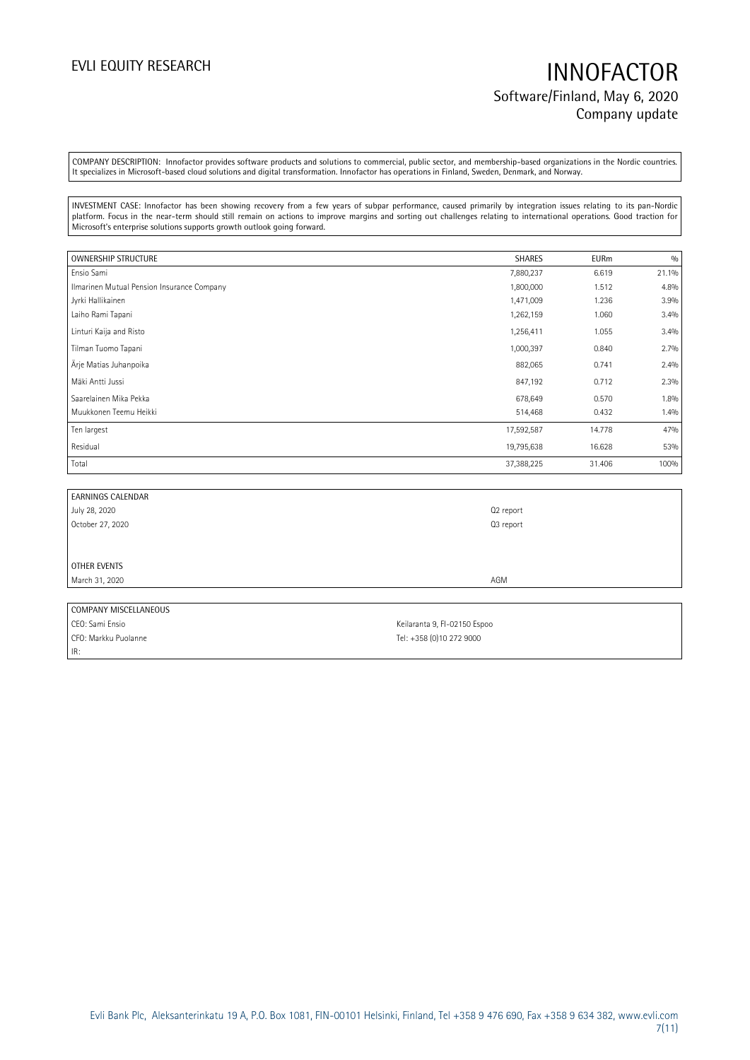## EVLI EQUITY RESEARCH **INNOFACTOR** Software/Finland, May 6, 2020 Company update

COMPANY DESCRIPTION: Innofactor provides software products and solutions to commercial, public sector, and membership-based organizations in the Nordic countries. It specializes in Microsoft-based cloud solutions and digital transformation. Innofactor has operations in Finland, Sweden, Denmark, and Norway.

INVESTMENT CASE: Innofactor has been showing recovery from a few years of subpar performance, caused primarily by integration issues relating to its pan-Nordic platform. Focus in the near-term should still remain on actions to improve margins and sorting out challenges relating to international operations. Good traction for Microsoft's enterprise solutions supports growth outlook going forward.

| OWNERSHIP STRUCTURE                        | SHARES     | <b>EURm</b> | 0/0   |
|--------------------------------------------|------------|-------------|-------|
| Ensio Sami                                 | 7,880,237  | 6.619       | 21.1% |
| Ilmarinen Mutual Pension Insurance Company | 1,800,000  | 1.512       | 4.8%  |
| Jyrki Hallikainen                          | 1,471,009  | 1.236       | 3.9%  |
| Laiho Rami Tapani                          | 1,262,159  | 1.060       | 3.4%  |
| Linturi Kaija and Risto                    | 1,256,411  | 1.055       | 3.4%  |
| Tilman Tuomo Tapani                        | 1,000,397  | 0.840       | 2.7%  |
| Ärje Matias Juhanpoika                     | 882,065    | 0.741       | 2.4%  |
| Mäki Antti Jussi                           | 847,192    | 0.712       | 2.3%  |
| Saarelainen Mika Pekka                     | 678,649    | 0.570       | 1.8%  |
| Muukkonen Teemu Heikki                     | 514,468    | 0.432       | 1.4%  |
| Ten largest                                | 17,592,587 | 14.778      | 47%   |
| Residual                                   | 19,795,638 | 16.628      | 53%   |
| Total                                      | 37,388,225 | 31.406      | 100%  |

| <b>EARNINGS CALENDAR</b> |           |
|--------------------------|-----------|
| July 28, 2020            | Q2 report |
| October 27, 2020         | Q3 report |
|                          |           |
|                          |           |
| OTHER EVENTS             |           |
| March 31, 2020           | AGM       |
|                          |           |
| COMPANY MISCELLANEOUS    |           |

CEO: Sami Ensio CEO: Sami Ensio CFO: Markku Puolanne Tel: +358 (0)10 272 9000 IR: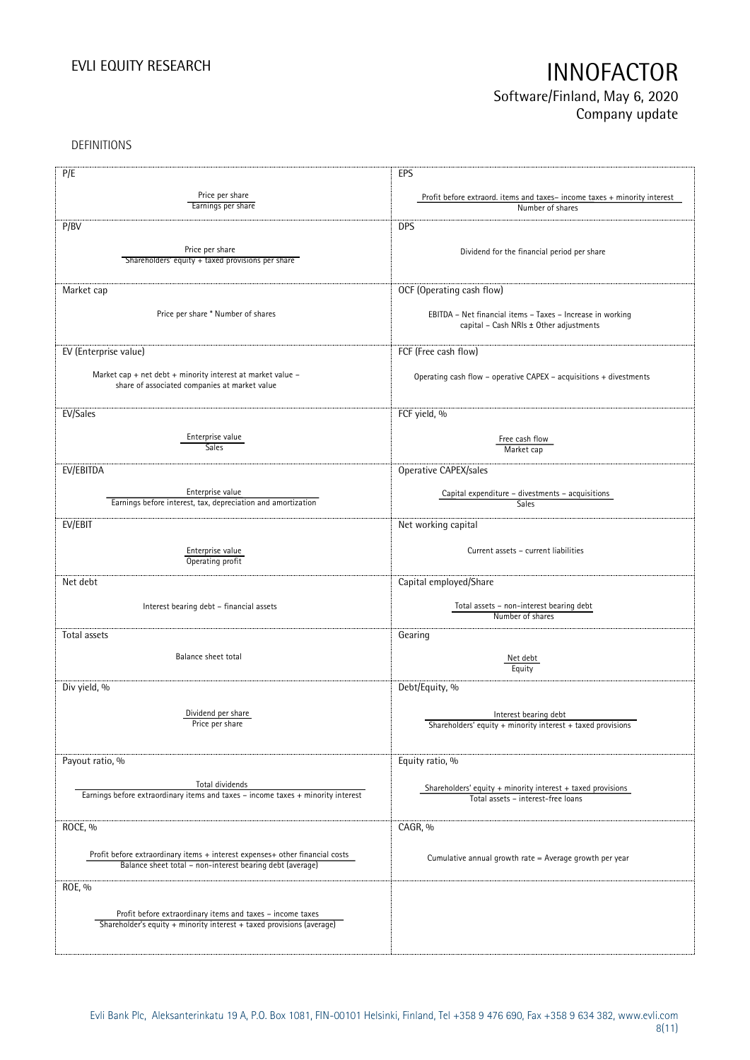## EVLI EQUITY RESEARCH **INNOFACTOR** Software/Finland, May 6, 2020 Company update

DEFINITIONS

| P/E                                                                                                                                 | EPS                                                                                          |
|-------------------------------------------------------------------------------------------------------------------------------------|----------------------------------------------------------------------------------------------|
| Price per share                                                                                                                     |                                                                                              |
| Earnings per share                                                                                                                  | Profit before extraord. items and taxes-income taxes + minority interest<br>Number of shares |
|                                                                                                                                     |                                                                                              |
| P/BV                                                                                                                                | <b>DPS</b>                                                                                   |
|                                                                                                                                     |                                                                                              |
| Price per share                                                                                                                     | Dividend for the financial period per share                                                  |
| Shareholders' equity + taxed provisions per share                                                                                   |                                                                                              |
|                                                                                                                                     |                                                                                              |
| Market cap                                                                                                                          | OCF (Operating cash flow)                                                                    |
|                                                                                                                                     |                                                                                              |
| Price per share * Number of shares                                                                                                  | EBITDA - Net financial items - Taxes - Increase in working                                   |
|                                                                                                                                     | capital - Cash NRIs ± Other adjustments                                                      |
|                                                                                                                                     |                                                                                              |
| EV (Enterprise value)                                                                                                               | FCF (Free cash flow)                                                                         |
|                                                                                                                                     |                                                                                              |
| Market cap + net debt + minority interest at market value -<br>share of associated companies at market value                        | Operating cash flow - operative CAPEX - acquisitions + divestments                           |
|                                                                                                                                     |                                                                                              |
|                                                                                                                                     |                                                                                              |
| EV/Sales                                                                                                                            | FCF yield, %                                                                                 |
|                                                                                                                                     |                                                                                              |
| Enterprise value<br>Sales <sup>-</sup>                                                                                              | Free cash flow<br>Market cap                                                                 |
|                                                                                                                                     |                                                                                              |
| EV/EBITDA                                                                                                                           | Operative CAPEX/sales                                                                        |
|                                                                                                                                     |                                                                                              |
| Enterprise value                                                                                                                    | Capital expenditure - divestments - acquisitions                                             |
| Earnings before interest, tax, depreciation and amortization                                                                        | <b>Sales</b>                                                                                 |
| EV/EBIT                                                                                                                             | Net working capital                                                                          |
|                                                                                                                                     |                                                                                              |
| Enterprise value                                                                                                                    | Current assets - current liabilities                                                         |
| Operating profit                                                                                                                    |                                                                                              |
|                                                                                                                                     |                                                                                              |
| Net debt                                                                                                                            | Capital employed/Share                                                                       |
|                                                                                                                                     |                                                                                              |
| Interest bearing debt - financial assets                                                                                            | Total assets - non-interest bearing debt<br>Number of shares                                 |
|                                                                                                                                     |                                                                                              |
| Total assets                                                                                                                        | Gearing                                                                                      |
|                                                                                                                                     |                                                                                              |
| Balance sheet total                                                                                                                 | Net debt<br>Equity                                                                           |
|                                                                                                                                     |                                                                                              |
| Div yield, %                                                                                                                        | Debt/Equity, %                                                                               |
|                                                                                                                                     |                                                                                              |
| Dividend per share                                                                                                                  | Interest bearing debt                                                                        |
| Price per snare                                                                                                                     | Shareholders' equity + minority interest + taxed provisions                                  |
|                                                                                                                                     |                                                                                              |
|                                                                                                                                     |                                                                                              |
| Payout ratio, %                                                                                                                     | Equity ratio, %                                                                              |
| Total dividends                                                                                                                     |                                                                                              |
| Earnings before extraordinary items and taxes - income taxes + minority interest                                                    | Shareholders' equity + minority interest + taxed provisions                                  |
|                                                                                                                                     | Total assets - interest-free loans                                                           |
|                                                                                                                                     |                                                                                              |
| ROCE, %                                                                                                                             | CAGR, %                                                                                      |
|                                                                                                                                     |                                                                                              |
| Profit before extraordinary items + interest expenses+ other financial costs                                                        | Cumulative annual growth rate = Average growth per year                                      |
| Balance sheet total - non-interest bearing debt (average)                                                                           |                                                                                              |
| ROE, %                                                                                                                              |                                                                                              |
|                                                                                                                                     |                                                                                              |
|                                                                                                                                     |                                                                                              |
| Profit before extraordinary items and taxes - income taxes<br>Shareholder's equity + minority interest + taxed provisions (average) |                                                                                              |
|                                                                                                                                     |                                                                                              |
|                                                                                                                                     |                                                                                              |
|                                                                                                                                     |                                                                                              |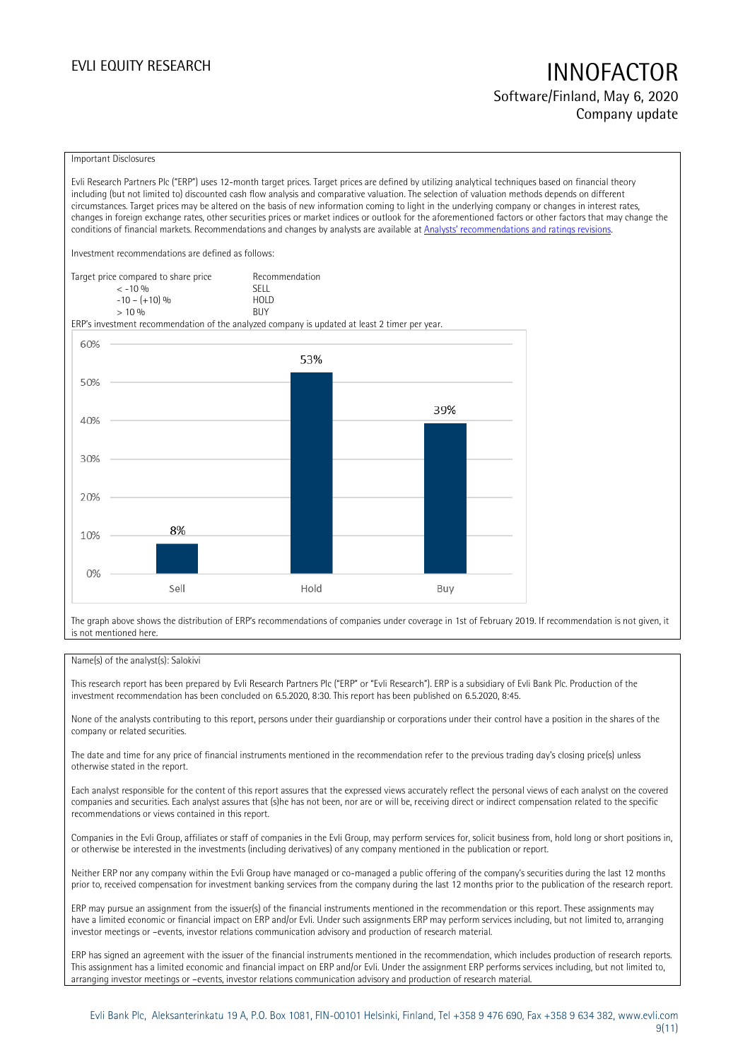## EVLI EQUITY RESEARCH **INNOFACTOR** Software/Finland, May 6, 2020

Company update

### Important Disclosures

Evli Research Partners Plc ("ERP") uses 12-month target prices. Target prices are defined by utilizing analytical techniques based on financial theory including (but not limited to) discounted cash flow analysis and comparative valuation. The selection of valuation methods depends on different circumstances. Target prices may be altered on the basis of new information coming to light in the underlying company or changes in interest rates, changes in foreign exchange rates, other securities prices or market indices or outlook for the aforementioned factors or other factors that may change the conditions of financial markets. Recommendations and changes by analysts are available at An[alysts' recommendations and ratings revisions](https://research.evli.com/JasperAllModels.action?authParam=key;461&authParam=x;G3rNagWrtf7K&authType=3).

Investment recommendations are defined as follows:

| Target price compared to share price | Recommendation                |
|--------------------------------------|-------------------------------|
| $<-10.06$                            | <b>SFII</b>                   |
| $-10 - (+10)$ %                      | H <sub>O</sub> I <sub>D</sub> |
| $> 10\%$                             | <b>BUY</b>                    |

ERP's investment recommendation of the analyzed company is updated at least 2 timer per year.



The graph above shows the distribution of ERP's recommendations of companies under coverage in 1st of February 2019. If recommendation is not given, it is not mentioned here.

### Name(s) of the analyst(s): Salokivi

This research report has been prepared by Evli Research Partners Plc ("ERP" or "Evli Research"). ERP is a subsidiary of Evli Bank Plc. Production of the investment recommendation has been concluded on 6.5.2020, 8:30. This report has been published on 6.5.2020, 8:45.

None of the analysts contributing to this report, persons under their guardianship or corporations under their control have a position in the shares of the company or related securities.

The date and time for any price of financial instruments mentioned in the recommendation refer to the previous trading day's closing price(s) unless otherwise stated in the report.

Each analyst responsible for the content of this report assures that the expressed views accurately reflect the personal views of each analyst on the covered companies and securities. Each analyst assures that (s)he has not been, nor are or will be, receiving direct or indirect compensation related to the specific recommendations or views contained in this report.

Companies in the Evli Group, affiliates or staff of companies in the Evli Group, may perform services for, solicit business from, hold long or short positions in, or otherwise be interested in the investments (including derivatives) of any company mentioned in the publication or report.

Neither ERP nor any company within the Evli Group have managed or co-managed a public offering of the company's securities during the last 12 months prior to, received compensation for investment banking services from the company during the last 12 months prior to the publication of the research report.

ERP may pursue an assignment from the issuer(s) of the financial instruments mentioned in the recommendation or this report. These assignments may have a limited economic or financial impact on ERP and/or Evli. Under such assignments ERP may perform services including, but not limited to, arranging investor meetings or –events, investor relations communication advisory and production of research material.

ERP has signed an agreement with the issuer of the financial instruments mentioned in the recommendation, which includes production of research reports. This assignment has a limited economic and financial impact on ERP and/or Evli. Under the assignment ERP performs services including, but not limited to, arranging investor meetings or –events, investor relations communication advisory and production of research material.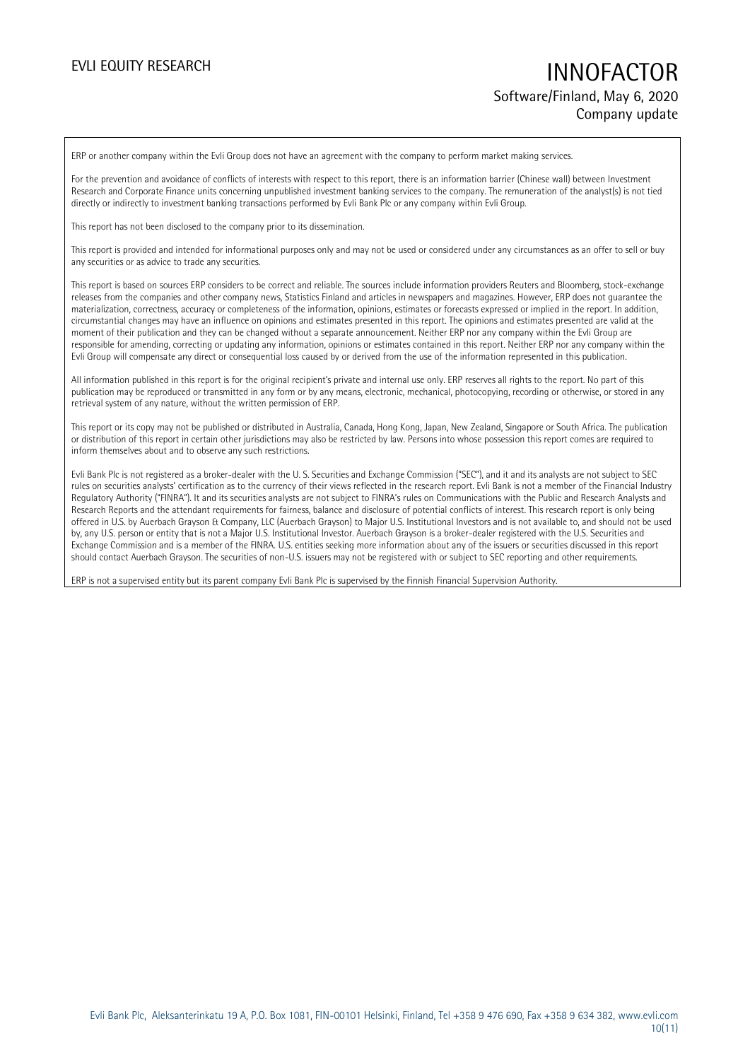## EVLI EQUITY RESEARCH **INNOFACTOR** Software/Finland, May 6, 2020 Company update

ERP or another company within the Evli Group does not have an agreement with the company to perform market making services.

For the prevention and avoidance of conflicts of interests with respect to this report, there is an information barrier (Chinese wall) between Investment Research and Corporate Finance units concerning unpublished investment banking services to the company. The remuneration of the analyst(s) is not tied directly or indirectly to investment banking transactions performed by Evli Bank Plc or any company within Evli Group.

This report has not been disclosed to the company prior to its dissemination.

This report is provided and intended for informational purposes only and may not be used or considered under any circumstances as an offer to sell or buy any securities or as advice to trade any securities.

This report is based on sources ERP considers to be correct and reliable. The sources include information providers Reuters and Bloomberg, stock-exchange releases from the companies and other company news, Statistics Finland and articles in newspapers and magazines. However, ERP does not guarantee the materialization, correctness, accuracy or completeness of the information, opinions, estimates or forecasts expressed or implied in the report. In addition, circumstantial changes may have an influence on opinions and estimates presented in this report. The opinions and estimates presented are valid at the moment of their publication and they can be changed without a separate announcement. Neither ERP nor any company within the Evli Group are responsible for amending, correcting or updating any information, opinions or estimates contained in this report. Neither ERP nor any company within the Evli Group will compensate any direct or consequential loss caused by or derived from the use of the information represented in this publication.

All information published in this report is for the original recipient's private and internal use only. ERP reserves all rights to the report. No part of this publication may be reproduced or transmitted in any form or by any means, electronic, mechanical, photocopying, recording or otherwise, or stored in any retrieval system of any nature, without the written permission of ERP.

This report or its copy may not be published or distributed in Australia, Canada, Hong Kong, Japan, New Zealand, Singapore or South Africa. The publication or distribution of this report in certain other jurisdictions may also be restricted by law. Persons into whose possession this report comes are required to inform themselves about and to observe any such restrictions.

Evli Bank Plc is not registered as a broker-dealer with the U. S. Securities and Exchange Commission ("SEC"), and it and its analysts are not subject to SEC rules on securities analysts' certification as to the currency of their views reflected in the research report. Evli Bank is not a member of the Financial Industry Regulatory Authority ("FINRA"). It and its securities analysts are not subject to FINRA's rules on Communications with the Public and Research Analysts and Research Reports and the attendant requirements for fairness, balance and disclosure of potential conflicts of interest. This research report is only being offered in U.S. by Auerbach Grayson & Company, LLC (Auerbach Grayson) to Major U.S. Institutional Investors and is not available to, and should not be used by, any U.S. person or entity that is not a Major U.S. Institutional Investor. Auerbach Grayson is a broker-dealer registered with the U.S. Securities and Exchange Commission and is a member of the FINRA. U.S. entities seeking more information about any of the issuers or securities discussed in this report should contact Auerbach Grayson. The securities of non-U.S. issuers may not be registered with or subject to SEC reporting and other requirements.

ERP is not a supervised entity but its parent company Evli Bank Plc is supervised by the Finnish Financial Supervision Authority.